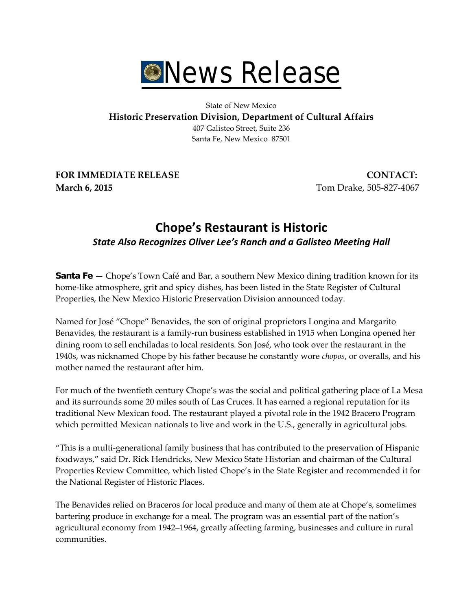

## State of New Mexico **Historic Preservation Division, Department of Cultural Affairs** 407 Galisteo Street, Suite 236 Santa Fe, New Mexico 87501

**FOR IMMEDIATE RELEASE CONTACT: March 6, 2015 Tom Drake, 505-827-4067** 

## **Chope's Restaurant is Historic** *State Also Recognizes Oliver Lee's Ranch and a Galisteo Meeting Hall*

**Santa Fe** - Chope's Town Café and Bar, a southern New Mexico dining tradition known for its home-like atmosphere, grit and spicy dishes, has been listed in the State Register of Cultural Properties, the New Mexico Historic Preservation Division announced today.

Named for José "Chope" Benavides, the son of original proprietors Longina and Margarito Benavides, the restaurant is a family-run business established in 1915 when Longina opened her dining room to sell enchiladas to local residents. Son José, who took over the restaurant in the 1940s, was nicknamed Chope by his father because he constantly wore *chopos*, or overalls, and his mother named the restaurant after him.

For much of the twentieth century Chope's was the social and political gathering place of La Mesa and its surrounds some 20 miles south of Las Cruces. It has earned a regional reputation for its traditional New Mexican food. The restaurant played a pivotal role in the 1942 Bracero Program which permitted Mexican nationals to live and work in the U.S., generally in agricultural jobs.

"This is a multi-generational family business that has contributed to the preservation of Hispanic foodways," said Dr. Rick Hendricks, New Mexico State Historian and chairman of the Cultural Properties Review Committee, which listed Chope's in the State Register and recommended it for the National Register of Historic Places.

The Benavides relied on Braceros for local produce and many of them ate at Chope's, sometimes bartering produce in exchange for a meal. The program was an essential part of the nation's agricultural economy from 1942–1964, greatly affecting farming, businesses and culture in rural communities.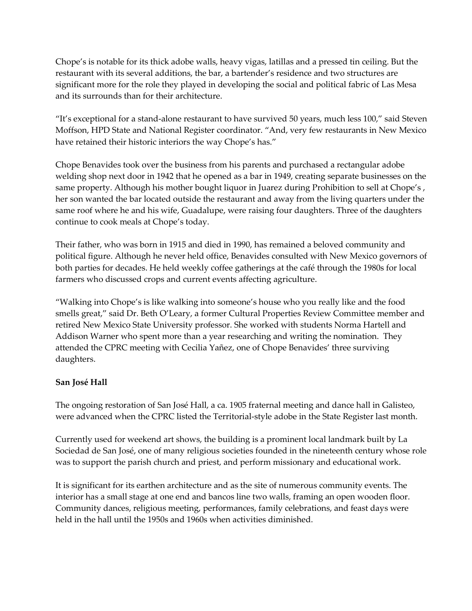Chope's is notable for its thick adobe walls, heavy vigas, latillas and a pressed tin ceiling. But the restaurant with its several additions, the bar, a bartender's residence and two structures are significant more for the role they played in developing the social and political fabric of Las Mesa and its surrounds than for their architecture.

"It's exceptional for a stand-alone restaurant to have survived 50 years, much less 100," said Steven Moffson, HPD State and National Register coordinator. "And, very few restaurants in New Mexico have retained their historic interiors the way Chope's has."

Chope Benavides took over the business from his parents and purchased a rectangular adobe welding shop next door in 1942 that he opened as a bar in 1949, creating separate businesses on the same property. Although his mother bought liquor in Juarez during Prohibition to sell at Chope's, her son wanted the bar located outside the restaurant and away from the living quarters under the same roof where he and his wife, Guadalupe, were raising four daughters. Three of the daughters continue to cook meals at Chope's today.

Their father, who was born in 1915 and died in 1990, has remained a beloved community and political figure. Although he never held office, Benavides consulted with New Mexico governors of both parties for decades. He held weekly coffee gatherings at the café through the 1980s for local farmers who discussed crops and current events affecting agriculture.

"Walking into Chope's is like walking into someone's house who you really like and the food smells great," said Dr. Beth O'Leary, a former Cultural Properties Review Committee member and retired New Mexico State University professor. She worked with students Norma Hartell and Addison Warner who spent more than a year researching and writing the nomination. They attended the CPRC meeting with Cecilia Yañez, one of Chope Benavides' three surviving daughters.

## **San José Hall**

The ongoing restoration of San José Hall, a ca. 1905 fraternal meeting and dance hall in Galisteo, were advanced when the CPRC listed the Territorial-style adobe in the State Register last month.

Currently used for weekend art shows, the building is a prominent local landmark built by La Sociedad de San José, one of many religious societies founded in the nineteenth century whose role was to support the parish church and priest, and perform missionary and educational work.

It is significant for its earthen architecture and as the site of numerous community events. The interior has a small stage at one end and bancos line two walls, framing an open wooden floor. Community dances, religious meeting, performances, family celebrations, and feast days were held in the hall until the 1950s and 1960s when activities diminished.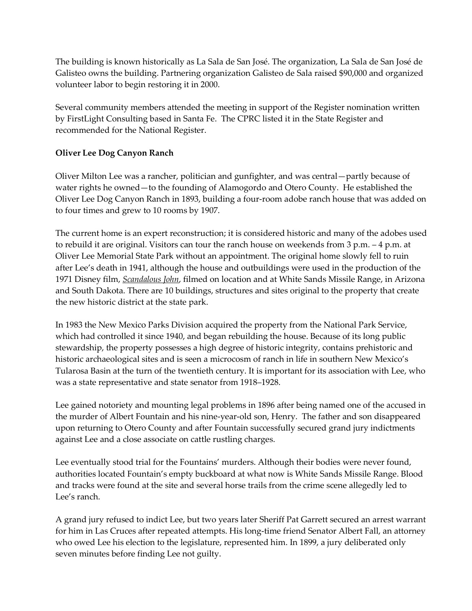The building is known historically as La Sala de San José. The organization, La Sala de San José de Galisteo owns the building. Partnering organization Galisteo de Sala raised \$90,000 and organized volunteer labor to begin restoring it in 2000.

Several community members attended the meeting in support of the Register nomination written by FirstLight Consulting based in Santa Fe. The CPRC listed it in the State Register and recommended for the National Register.

## **Oliver Lee Dog Canyon Ranch**

Oliver Milton Lee was a rancher, politician and gunfighter, and was central—partly because of water rights he owned—to the founding of Alamogordo and Otero County. He established the Oliver Lee Dog Canyon Ranch in 1893, building a four-room adobe ranch house that was added on to four times and grew to 10 rooms by 1907.

The current home is an expert reconstruction; it is considered historic and many of the adobes used to rebuild it are original. Visitors can tour the ranch house on weekends from 3 p.m. – 4 p.m. at Oliver Lee Memorial State Park without an appointment. The original home slowly fell to ruin after Lee's death in 1941, although the house and outbuildings were used in the production of the 1971 Disney film, *Scandalous John*, filmed on location and at White Sands Missile Range, in Arizona and South Dakota. There are 10 buildings, structures and sites original to the property that create the new historic district at the state park.

In 1983 the New Mexico Parks Division acquired the property from the National Park Service, which had controlled it since 1940, and began rebuilding the house. Because of its long public stewardship, the property possesses a high degree of historic integrity, contains prehistoric and historic archaeological sites and is seen a microcosm of ranch in life in southern New Mexico's Tularosa Basin at the turn of the twentieth century. It is important for its association with Lee, who was a state representative and state senator from 1918–1928.

Lee gained notoriety and mounting legal problems in 1896 after being named one of the accused in the murder of Albert Fountain and his nine-year-old son, Henry. The father and son disappeared upon returning to Otero County and after Fountain successfully secured grand jury indictments against Lee and a close associate on cattle rustling charges.

Lee eventually stood trial for the Fountains' murders. Although their bodies were never found, authorities located Fountain's empty buckboard at what now is White Sands Missile Range. Blood and tracks were found at the site and several horse trails from the crime scene allegedly led to Lee's ranch.

A grand jury refused to indict Lee, but two years later Sheriff Pat Garrett secured an arrest warrant for him in Las Cruces after repeated attempts. His long-time friend Senator Albert Fall, an attorney who owed Lee his election to the legislature, represented him. In 1899, a jury deliberated only seven minutes before finding Lee not guilty.